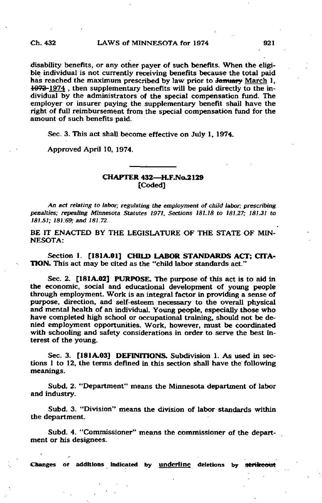disability benefits, or any other payer of such benefits. When the eligible individual is not currently receiving benefits because the total paid has reached the maximum prescribed by law prior to January March 1, 1073 1974 , then supplementary benefits will be paid directly to the individual by the administrators of the special compensation fund. The employer or insurer paying the supplementary benefit shall have the right of full reimbursement from the special compensation fund for the amount of such benefits paid.

Sec. 3. This act shall become effective on July 1, 1974.

Approved April 10, 1974.

## CHAPTER 432-H.F.No.2129 [Coded]

An act relating to labor; regulating the employment of child labor; prescribing penalties; repealing Minnesota Statutes 1971. Sections 181.18 to 181.27; 181.31 to 181.51; 181:69; and 181.72.

BE IT ENACTED BY THE LEGISLATURE OF THE STATE OF MIN-NESOTA:

Section 1. [181A.01] CHILD LABOR STANDARDS ACT; CITA-TION. This act may be cited as the "child labor standards act."

Sec. 2. [181A.02] PURPOSE. The purpose of this act is to aid in the economic, social and educational development of young people through employment. Work is an integral factor in providing a sense of purpose, direction, and self-esteem necessary to the overall physical and mental health of an individual. Young people, especially those who have completed high school or occupational training, should not be denied employment opportunities. Work, however, must be coordinated with schooling and safety considerations in order to serve the best interest of the young.

Sec. 3. [181A.03] DEFINITIONS, Subdivision 1. As used in sections 1 to 12, the terms defined in this section shall have the following meanings.

Subd. 2. "Department" means the Minnesota department of labor and industry.

Subd. 3. "Division" means the division of labor standards within the department.

Subd. 4. "Commissioner" means the commissioner of the department or his designees.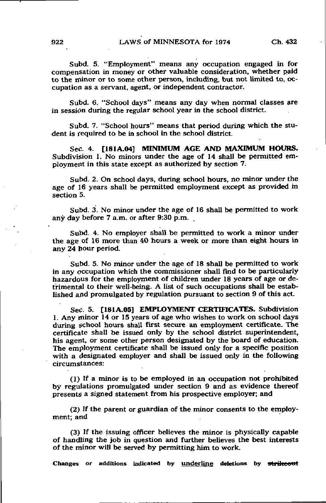Subd. 5. "Employment" means any occupation engaged in for compensation in money or other valuable consideration, whether paid to the minor or to some other person, including, but not limited to, occupation as a servant, agent, or independent contractor.

Subd. 6. "School days" means any day when normal classes are in session during the regular school year in the school district.

Subd. 7. "School hours" means that period during which the student is required to be in school in the school district.

Sec. 4. [181A.04] MINIMUM AGE AND MAXIMUM HOURS. Subdivision 1. No minors under the age of 14 shall be permitted employment in this state except as authorized by section 7.

Subd. 2. On school days, during school hours, no minor under the age of 16 years shall be permitted employment except as provided in section 5.

Subd. 3. No minor under the age of 16 shall be permitted to work any day before 7 a.m. or after 9:30 p.m.

Subd. 4. No employer shall be permitted to work a minor under the age of 16 more than 40 hours a week or more than eight hours in any 24 hour period.

Subd. 5. No minor under the age of 18 shall be permitted to work in any occupation which the commissioner shall find to be particularly hazardous for the employment of children under 18 years of age or detrimental to their well-being. A list of such occupations shall be established and promulgated by regulation pursuant to section 9 of this act.

Sec. 5. [181A.05] EMPLOYMENT CERTIFICATES. Subdivision 1. Any minor 14 or 15 years of age who wishes to work on school days during school hours shall first secure an employment certificate. The certificate shall be issued only by the school district superintendent, his agent, or some other person designated by the board of education. The employment certificate shall be issued only for a specific position with a designated employer and shall be issued only in the following circumstances:

(1) If a minor is to be employed in an occupation not prohibited by regulations promulgated under section 9 and as evidence thereof presents a signed statement from his prospective employer; and

(2) If the parent or guardian of the minor consents to the employment; and

(3) If the issuing officer believes the minor is physically capable of handling the job in question and further believes the best interests of the minor will be served by permitting him to work.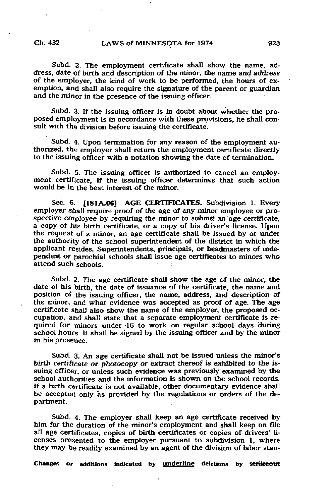Subd. 2. The employment certificate shall show the name, address, date of birth and description of the minor, the name and address of the employer, the kind of work to be performed, the hours of exemption, and shall also require the signature of the parent or guardian and the minor in the presence of the issuing officer.

Subd. 3. If the issuing officer is in doubt about whether the proposed employment is in accordance with these provisions, he shall consult with the division before issuing the certificate.

Subd. 4. Upon termination for any reason of the employment authorized, the employer shall return the employment certificate directly to the issuing officer with a notation showing the date of termination.

Subd. 5. The issuing officer is authorized to cancel an employment certificate, if the issuing officer determines that such action would be in the best interest of the minor.

Sec. 6. [181A.06] AGE CERTIFICATES. Subdivision 1. Every employer shall require proof of the age of any minor employee or prospective employee by requiring the minor to submit an age certificate, a copy of his birth certificate, or a copy of his driver's license. Upon the request of a minor, an age certificate shall be issued by or under the authority of the school superintendent of the district in which the applicant resides. Superintendents, principals, or headmasters of independent or parochial schools shall issue age certificates to minors who attend such schools.

Subd. 2. The age certificate shall show the age of the minor, the date of his birth, the date of issuance of the certificate, the name and position of the issuing officer, the name, address, and description of the minor, and what evidence was accepted as proof of age. The age certificate shal! also show the name of the employer, the proposed occupation, and shall state that a separate employment certificate is required for minors under 16 to work on regular school days during school hours. It shall be signed by the issuing officer and by the minor in his presence.

Subd. 3. An age certificate shall not be issued unless the minor's birth certificate or photocopy or extract thereof is exhibited to the issuing officer, or unless such evidence was previously examined by the school authorities and the information is shown on the school records. If a birth certificate is not available, other documentary evidence shall be accepted only as provided by the regulations or orders of the department.

Subd. 4. The employer shall keep an age certificate received by him for the duration of the minor's employment and shall keep on file all age certificates, copies of birth certificates or copies of drivers' licenses presented to the employer pursuant to subdivision 1, where they may be readily examined by an agent of the division of labor stan-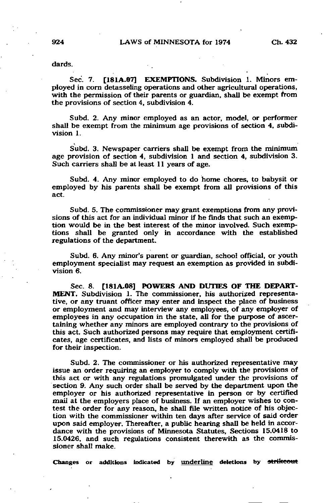dards.

Sec. 7. [181A.07] EXEMPTIONS. Subdivision 1. Minors employed in corn detasseling operations and other agricultural operations, with the permission of their parents or guardian, shall be exempt from the provisions of section 4, subdivision 4.

Subd. 2. Any minor employed as an actor, model, or performer shall be exempt from the minimum age provisions of section 4, subdivision 1.

Subd. 3. Newspaper carriers shall be exempt from the minimum age provision of section 4, subdivision 1 and section 4, subdivision 3. Such carriers shall be at least 11 years of age.

Subd. 4. Any minor employed to do home chores, to babysit or employed by his parents shall be exempt from all provisions of this act.

Subd. 5. The commissioner may grant exemptions from any provisions of this act for an individual minor if he finds that such an exemption would be in the best interest of the minor involved. Such exemptions shall be granted only in accordance with the established regulations of the department.

Subd. 6. Any minor's parent or guardian, school official, or youth employment specialist may request an exemption as provided in subdivision 6.

Sec. 8. [181A.08] POWERS AND DUTIES OF THE DEPART-MENT. Subdivision 1. The commissioner, his authorized representative, or any truant officer may enter and inspect the place of business or employment and may interview any employees, of any employer of employees in any occupation in the state, all for the purpose of ascertaining whether any minors are employed contrary to the provisions of this act. Such authorized persons may require that employment certificates, age certificates, and lists of minors employed shall be produced for their inspection.

Subd. 2. The commissioner or his authorized representative may issue an order requiring an employer to comply with the provisions of this act or with any regulations promulgated under the provisions of section 9. Any such order shall be served by the department upon the employer or his authorized representative in person or by certified mail at the employers place of business. If an employer wishes to contest the order for any reason, he shall file written notice of his objection with the commissioner within ten days after service of said order upon said employer. Thereafter, a public hearing shall be held in accordance with the provisions of Minnesota Statutes, Sections 15.0418 to 15.0426, and such regulations consistent therewith as the commissioner shall make.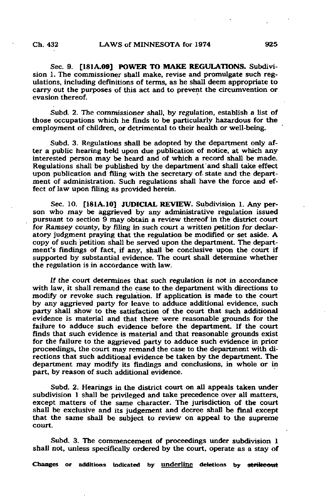Sec. 9. [181A.09] POWER TO MAKE REGULATIONS. Subdivision 1. The commissioner shall make, revise and promulgate such regulations, including definitions of terms, as he shall deem appropriate to carry out the purposes of this act and to prevent the circumvention or evasion thereof.

Subd. 2. The commissioner shall, by regulation, establish a list of those occupations which he finds to be particularly hazardous for the employment of children, or detrimental to their health or well-being.

Subd. 3. Regulations shall be adopted by the department only after a public hearing held upon due publication of notice, at which any interested person may be heard and of which a record shall be made. Regulations shall be published by the department and shall take effect upon publication and filing with the secretary of state and the department of administration. Such regulations shall have the force and effect of law upon filing as provided herein.

Sec. 10. [181A.10] JUDICIAL REVIEW. Subdivision 1. Any person who may be aggrieved by any administrative regulation issued pursuant to section 9 may obtain a review thereof in the district court for Ramsey county, by filing in such court a written petition for declaratory judgment praying that the regulation be modified or set aside. A copy of such petition shall be served upon the department. The department's findings of fact, if any, shall be conclusive upon the court if supported by substantial evidence. The court shall determine whether the regulation is in accordance with law.

If the court determines that such regulation is not in accordance with law, it shall remand the case to the department with directions to modify or revoke such regulation. If application is made to the court by any aggrieved party for leave to adduce additional evidence, such party shall show to the satisfaction of the court that such additional evidence is material and that there were reasonable grounds for the failure to adduce such evidence before the department. If the court finds that such evidence is material and that reasonable grounds exist for the failure to the aggrieved party to adduce such evidence in prior proceedings, the court may remand the case to the department with directions that such additional evidence be taken by the department. The department may modify its findings and conclusions, in whole or in part, by reason of such additional evidence.

Subd. 2. Hearings in the district court on all appeals taken under subdivision 1 shall be privileged and take precedence over all matters, except matters of the same character. The jurisdiction of the court shall be exclusive and its judgement and decree shall be final except that the same shall be subject to review on appeal to the supreme court.

Subd. 3. The commencement of proceedings under subdivision 1 shall not, unless specifically ordered by the court, operate as a stay of